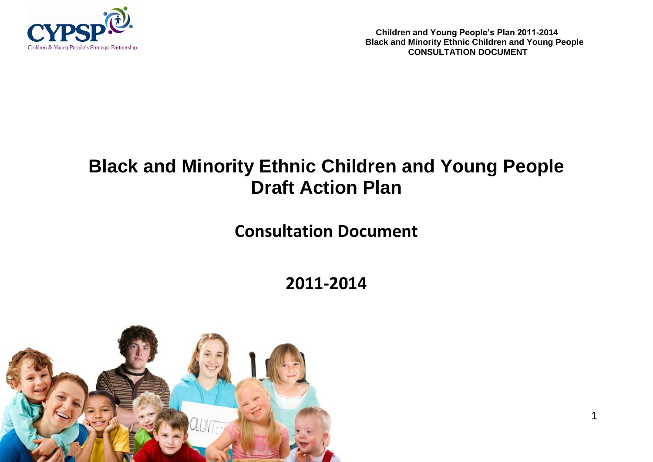

**Children and Young People's Plan 2011-2014 Black and Minority Ethnic Children and Young People CONSULTATION DOCUMENT** 

1

# **Black and Minority Ethnic Children and Young People Draft Action Plan**

## **Consultation Document**

**2011-2014**

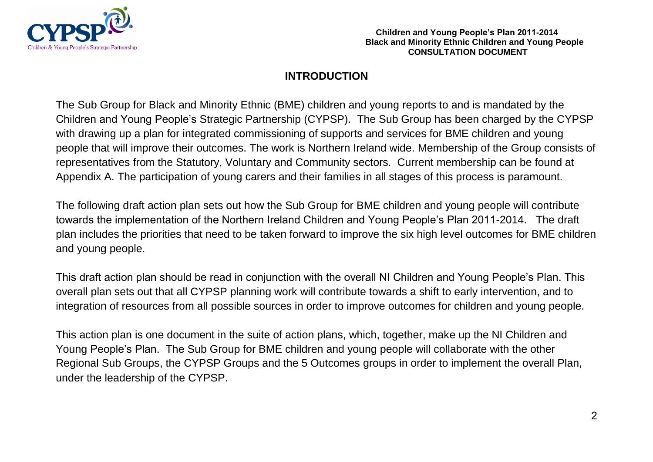

### **INTRODUCTION**

The Sub Group for Black and Minority Ethnic (BME) children and young reports to and is mandated by the Children and Young People's Strategic Partnership (CYPSP). The Sub Group has been charged by the CYPSP with drawing up a plan for integrated commissioning of supports and services for BME children and young people that will improve their outcomes. The work is Northern Ireland wide. Membership of the Group consists of representatives from the Statutory, Voluntary and Community sectors. Current membership can be found at Appendix A. The participation of young carers and their families in all stages of this process is paramount.

The following draft action plan sets out how the Sub Group for BME children and young people will contribute towards the implementation of the Northern Ireland Children and Young People's Plan 2011-2014. The draft plan includes the priorities that need to be taken forward to improve the six high level outcomes for BME children and young people.

This draft action plan should be read in conjunction with the overall NI Children and Young People's Plan. This overall plan sets out that all CYPSP planning work will contribute towards a shift to early intervention, and to integration of resources from all possible sources in order to improve outcomes for children and young people.

This action plan is one document in the suite of action plans, which, together, make up the NI Children and Young People's Plan. The Sub Group for BME children and young people will collaborate with the other Regional Sub Groups, the CYPSP Groups and the 5 Outcomes groups in order to implement the overall Plan, under the leadership of the CYPSP.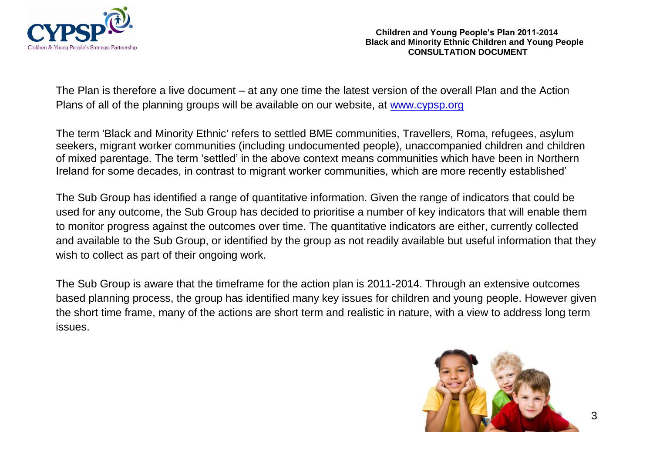

The Plan is therefore a live document – at any one time the latest version of the overall Plan and the Action Plans of all of the planning groups will be available on our website, at [www.cypsp.org](http://www.cypsp.org/)

The term 'Black and Minority Ethnic' refers to settled BME communities, Travellers, Roma, refugees, asylum seekers, migrant worker communities (including undocumented people), unaccompanied children and children of mixed parentage. The term 'settled' in the above context means communities which have been in Northern Ireland for some decades, in contrast to migrant worker communities, which are more recently established'

The Sub Group has identified a range of quantitative information. Given the range of indicators that could be used for any outcome, the Sub Group has decided to prioritise a number of key indicators that will enable them to monitor progress against the outcomes over time. The quantitative indicators are either, currently collected and available to the Sub Group, or identified by the group as not readily available but useful information that they wish to collect as part of their ongoing work.

The Sub Group is aware that the timeframe for the action plan is 2011-2014. Through an extensive outcomes based planning process, the group has identified many key issues for children and young people. However given the short time frame, many of the actions are short term and realistic in nature, with a view to address long term issues.

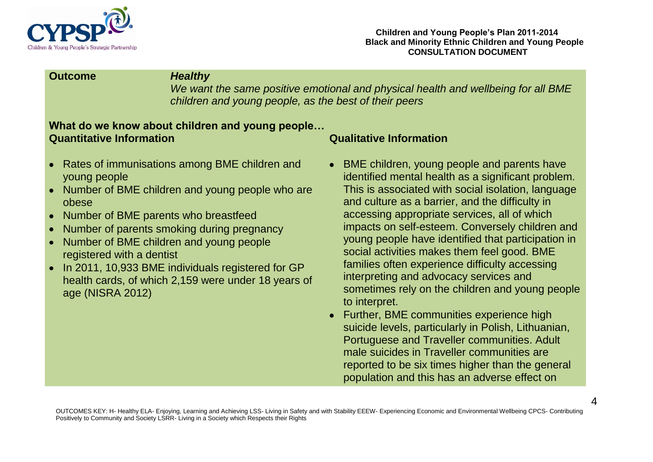

### **Outcome** *Healthy*

*We want the same positive emotional and physical health and wellbeing for all BME children and young people, as the best of their peers*

### **What do we know about children and young people… Quantitative Information Qualitative Information**

- Rates of immunisations among BME children and  $\bullet$ young people
- Number of BME children and young people who are obese
- Number of BME parents who breastfeed  $\bullet$
- Number of parents smoking during pregnancy
- Number of BME children and young people  $\bullet$ registered with a dentist
- In 2011, 10,933 BME individuals registered for GP  $\bullet$ health cards, of which 2,159 were under 18 years of age (NISRA 2012)

- BME children, young people and parents have identified mental health as a significant problem. This is associated with social isolation, language and culture as a barrier, and the difficulty in accessing appropriate services, all of which impacts on self-esteem. Conversely children and young people have identified that participation in social activities makes them feel good. BME families often experience difficulty accessing interpreting and advocacy services and sometimes rely on the children and young people to interpret.
- Further, BME communities experience high suicide levels, particularly in Polish, Lithuanian, Portuguese and Traveller communities. Adult male suicides in Traveller communities are reported to be six times higher than the general population and this has an adverse effect on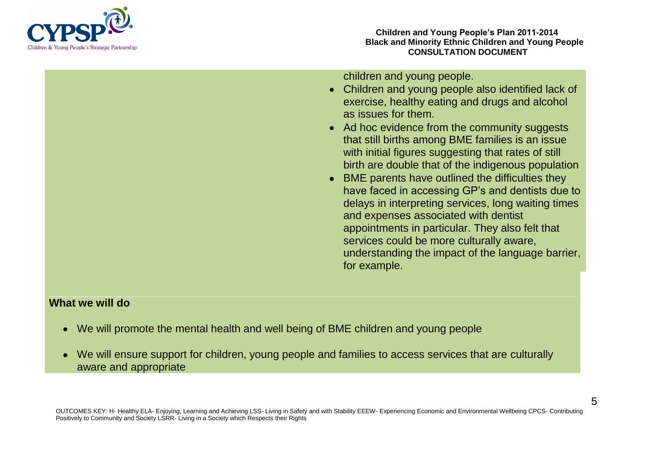

children and young people.

- Children and young people also identified lack of exercise, healthy eating and drugs and alcohol as issues for them.
- Ad hoc evidence from the community suggests that still births among BME families is an issue with initial figures suggesting that rates of still birth are double that of the indigenous population
- BME parents have outlined the difficulties they have faced in accessing GP's and dentists due to delays in interpreting services, long waiting times and expenses associated with dentist appointments in particular. They also felt that services could be more culturally aware, understanding the impact of the language barrier, for example.

- We will promote the mental health and well being of BME children and young people
- We will ensure support for children, young people and families to access services that are culturally aware and appropriate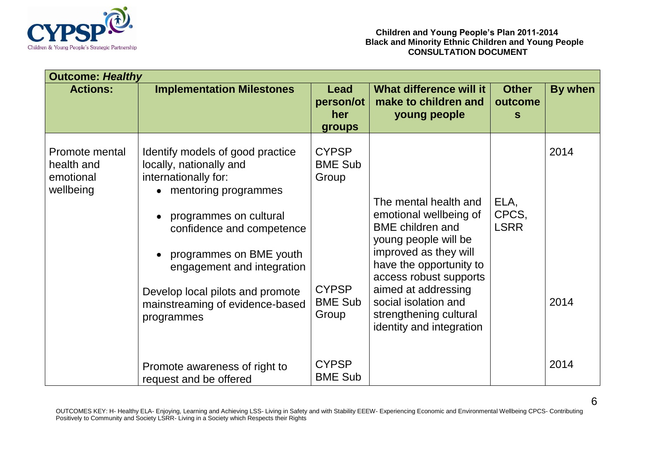

| <b>Outcome: Healthy</b>                                |                                                                                                                                                                                                                                                                                                                                            |                                                                                    |                                                                                                                                                                                                                                                                                       |                                         |              |  |  |  |
|--------------------------------------------------------|--------------------------------------------------------------------------------------------------------------------------------------------------------------------------------------------------------------------------------------------------------------------------------------------------------------------------------------------|------------------------------------------------------------------------------------|---------------------------------------------------------------------------------------------------------------------------------------------------------------------------------------------------------------------------------------------------------------------------------------|-----------------------------------------|--------------|--|--|--|
| <b>Actions:</b>                                        | <b>Implementation Milestones</b>                                                                                                                                                                                                                                                                                                           | Lead<br>person/ot<br>her<br><b>groups</b>                                          | What difference will it<br>make to children and<br>young people                                                                                                                                                                                                                       | <b>Other</b><br>outcome<br><sub>S</sub> | By when      |  |  |  |
| Promote mental<br>health and<br>emotional<br>wellbeing | Identify models of good practice<br>locally, nationally and<br>internationally for:<br>mentoring programmes<br>$\bullet$<br>programmes on cultural<br>$\bullet$<br>confidence and competence<br>programmes on BME youth<br>engagement and integration<br>Develop local pilots and promote<br>mainstreaming of evidence-based<br>programmes | <b>CYPSP</b><br><b>BME Sub</b><br>Group<br><b>CYPSP</b><br><b>BME Sub</b><br>Group | The mental health and<br>emotional wellbeing of<br><b>BME</b> children and<br>young people will be<br>improved as they will<br>have the opportunity to<br>access robust supports<br>aimed at addressing<br>social isolation and<br>strengthening cultural<br>identity and integration | ELA,<br>CPCS,<br><b>LSRR</b>            | 2014<br>2014 |  |  |  |
|                                                        | Promote awareness of right to<br>request and be offered                                                                                                                                                                                                                                                                                    | <b>CYPSP</b><br><b>BME Sub</b>                                                     |                                                                                                                                                                                                                                                                                       |                                         | 2014         |  |  |  |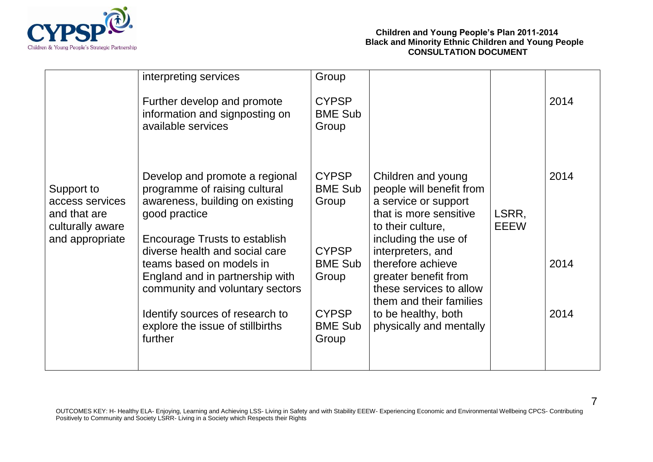

|                                                                                      | interpreting services                                                                                                                                             | Group                                   |                                                                                                                                              |                      |      |
|--------------------------------------------------------------------------------------|-------------------------------------------------------------------------------------------------------------------------------------------------------------------|-----------------------------------------|----------------------------------------------------------------------------------------------------------------------------------------------|----------------------|------|
| Support to<br>access services<br>and that are<br>culturally aware<br>and appropriate | Further develop and promote<br>information and signposting on<br>available services                                                                               | <b>CYPSP</b><br><b>BME Sub</b><br>Group |                                                                                                                                              |                      | 2014 |
|                                                                                      | Develop and promote a regional<br>programme of raising cultural<br>awareness, building on existing<br>good practice                                               | <b>CYPSP</b><br><b>BME Sub</b><br>Group | Children and young<br>people will benefit from<br>a service or support<br>that is more sensitive<br>to their culture,                        | LSRR,<br><b>EEEW</b> | 2014 |
|                                                                                      | Encourage Trusts to establish<br>diverse health and social care<br>teams based on models in<br>England and in partnership with<br>community and voluntary sectors | <b>CYPSP</b><br><b>BME Sub</b><br>Group | including the use of<br>interpreters, and<br>therefore achieve<br>greater benefit from<br>these services to allow<br>them and their families |                      | 2014 |
|                                                                                      | Identify sources of research to<br>explore the issue of stillbirths<br>further                                                                                    | <b>CYPSP</b><br><b>BME Sub</b><br>Group | to be healthy, both<br>physically and mentally                                                                                               |                      | 2014 |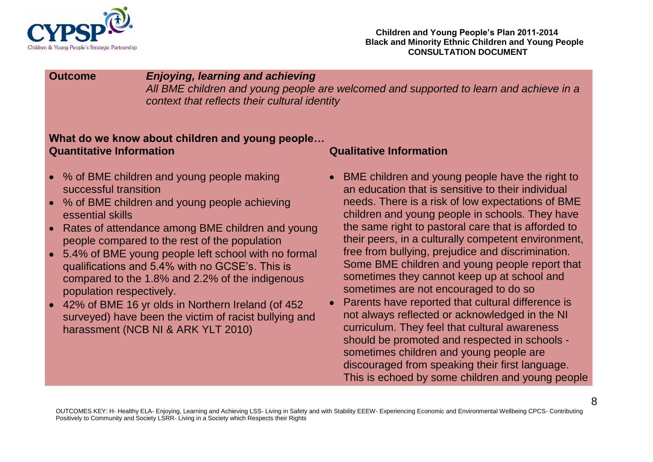

### **Outcome** *Enjoying, learning and achieving*

*All BME children and young people are welcomed and supported to learn and achieve in a context that reflects their cultural identity*

### **What do we know about children and young people… Quantitative Information Qualitative Information**

- % of BME children and young people making successful transition
- % of BME children and young people achieving essential skills
- Rates of attendance among BME children and young  $\bullet$ people compared to the rest of the population
- 5.4% of BME young people left school with no formal qualifications and 5.4% with no GCSE's. This is compared to the 1.8% and 2.2% of the indigenous population respectively.
- 42% of BME 16 yr olds in Northern Ireland (of 452  $\bullet$ surveyed) have been the victim of racist bullying and harassment (NCB NI & ARK YLT 2010)

- BME children and young people have the right to an education that is sensitive to their individual needs. There is a risk of low expectations of BME children and young people in schools. They have the same right to pastoral care that is afforded to their peers, in a culturally competent environment, free from bullying, prejudice and discrimination. Some BME children and young people report that sometimes they cannot keep up at school and sometimes are not encouraged to do so
- Parents have reported that cultural difference is not always reflected or acknowledged in the NI curriculum. They feel that cultural awareness should be promoted and respected in schools sometimes children and young people are discouraged from speaking their first language. This is echoed by some children and young people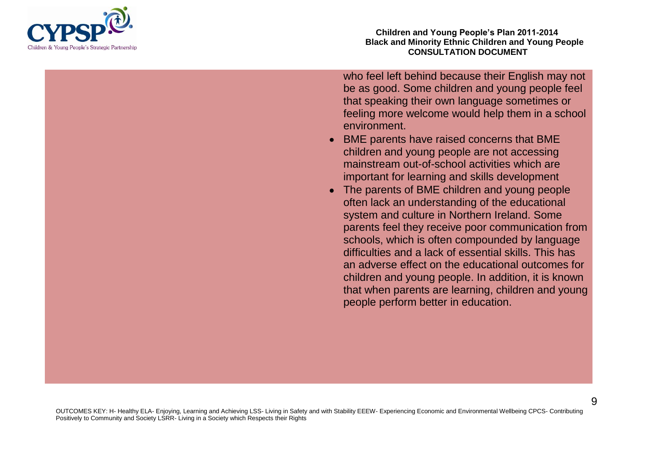

**Children and Young People's Plan 2011-2014 Black and Minority Ethnic Children and Young People CONSULTATION DOCUMENT**

who feel left behind because their English may not be as good. Some children and young people feel that speaking their own language sometimes or feeling more welcome would help them in a school environment.

- BME parents have raised concerns that BME children and young people are not accessing mainstream out-of-school activities which are important for learning and skills development
- The parents of BME children and young people often lack an understanding of the educational system and culture in Northern Ireland. Some parents feel they receive poor communication from schools, which is often compounded by language difficulties and a lack of essential skills. This has an adverse effect on the educational outcomes for children and young people. In addition, it is known that when parents are learning, children and young people perform better in education.

OUTCOMES KEY: H- Healthy ELA- Enjoying, Learning and Achieving LSS- Living in Safety and with Stability EEEW- Experiencing Economic and Environmental Wellbeing CPCS- Contributing Positively to Community and Society LSRR- Living in a Society which Respects their Rights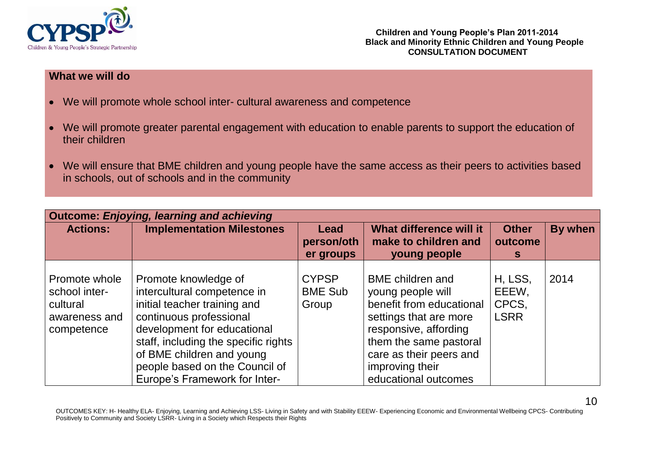

- We will promote whole school inter- cultural awareness and competence
- We will promote greater parental engagement with education to enable parents to support the education of  $\bullet$ their children
- We will ensure that BME children and young people have the same access as their peers to activities based  $\bullet$ in schools, out of schools and in the community

| <b>Outcome: Enjoying, learning and achieving</b>                          |                                                                                                                                                                                                                                                                                       |                                         |                                                                                                                                                                                                                             |                                          |         |  |  |  |  |
|---------------------------------------------------------------------------|---------------------------------------------------------------------------------------------------------------------------------------------------------------------------------------------------------------------------------------------------------------------------------------|-----------------------------------------|-----------------------------------------------------------------------------------------------------------------------------------------------------------------------------------------------------------------------------|------------------------------------------|---------|--|--|--|--|
| <b>Actions:</b>                                                           | <b>Implementation Milestones</b>                                                                                                                                                                                                                                                      | Lead<br>person/oth<br>er groups         | What difference will it<br>make to children and<br>young people                                                                                                                                                             | <b>Other</b><br>outcome<br>s             | By when |  |  |  |  |
| Promote whole<br>school inter-<br>cultural<br>awareness and<br>competence | Promote knowledge of<br>intercultural competence in<br>initial teacher training and<br>continuous professional<br>development for educational<br>staff, including the specific rights<br>of BME children and young<br>people based on the Council of<br>Europe's Framework for Inter- | <b>CYPSP</b><br><b>BME Sub</b><br>Group | <b>BME</b> children and<br>young people will<br>benefit from educational<br>settings that are more<br>responsive, affording<br>them the same pastoral<br>care as their peers and<br>improving their<br>educational outcomes | H, LSS,<br>EEEW,<br>CPCS,<br><b>LSRR</b> | 2014    |  |  |  |  |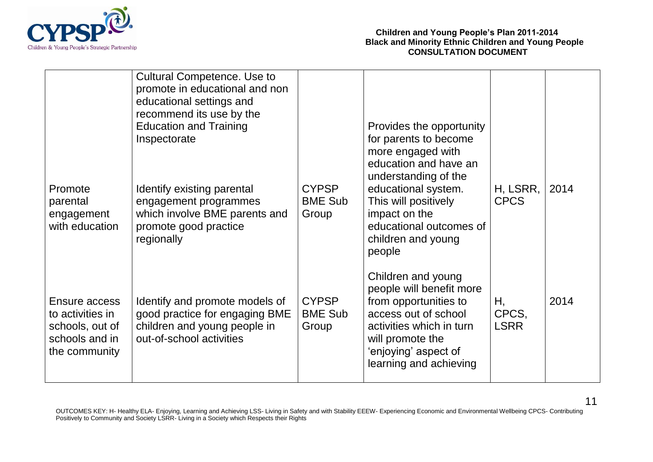

|                                                                                         | <b>Cultural Competence. Use to</b><br>promote in educational and non<br>educational settings and<br>recommend its use by the<br><b>Education and Training</b><br>Inspectorate |                                         | Provides the opportunity<br>for parents to become<br>more engaged with<br>education and have an<br>understanding of the                                                                           |                            |      |
|-----------------------------------------------------------------------------------------|-------------------------------------------------------------------------------------------------------------------------------------------------------------------------------|-----------------------------------------|---------------------------------------------------------------------------------------------------------------------------------------------------------------------------------------------------|----------------------------|------|
| Promote<br>parental<br>engagement<br>with education                                     | Identify existing parental<br>engagement programmes<br>which involve BME parents and<br>promote good practice<br>regionally                                                   | <b>CYPSP</b><br><b>BME Sub</b><br>Group | educational system.<br>This will positively<br>impact on the<br>educational outcomes of<br>children and young<br>people                                                                           | H, LSRR,<br><b>CPCS</b>    | 2014 |
| Ensure access<br>to activities in<br>schools, out of<br>schools and in<br>the community | Identify and promote models of<br>good practice for engaging BME<br>children and young people in<br>out-of-school activities                                                  | <b>CYPSP</b><br><b>BME Sub</b><br>Group | Children and young<br>people will benefit more<br>from opportunities to<br>access out of school<br>activities which in turn<br>will promote the<br>'enjoying' aspect of<br>learning and achieving | Н,<br>CPCS,<br><b>LSRR</b> | 2014 |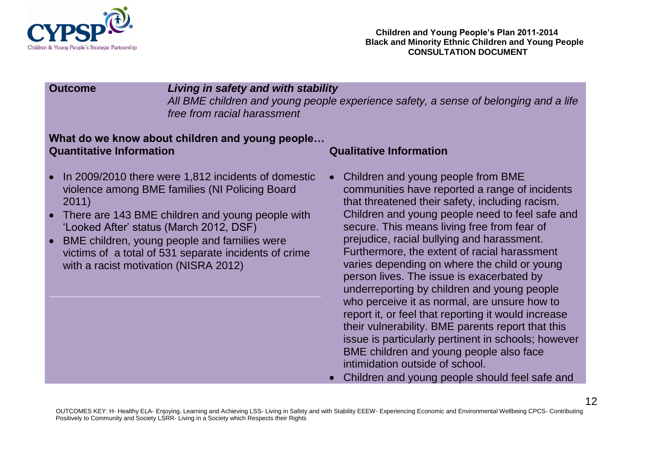

### **Outcome** *Living in safety and with stability*

*All BME children and young people experience safety, a sense of belonging and a life free from racial harassment*

### **What do we know about children and young people… Quantitative Information Qualitative Information**

- In 2009/2010 there were 1,812 incidents of domestic  $\bullet$ violence among BME families (NI Policing Board 2011)
- There are 143 BME children and young people with 'Looked After' status (March 2012, DSF)
- BME children, young people and families were victims of a total of 531 separate incidents of crime with a racist motivation (NISRA 2012)

- Children and young people from BME communities have reported a range of incidents that threatened their safety, including racism. Children and young people need to feel safe and secure. This means living free from fear of prejudice, racial bullying and harassment. Furthermore, the extent of racial harassment varies depending on where the child or young person lives. The issue is exacerbated by underreporting by children and young people who perceive it as normal, are unsure how to report it, or feel that reporting it would increase their vulnerability. BME parents report that this issue is particularly pertinent in schools; however BME children and young people also face intimidation outside of school.
- Children and young people should feel safe and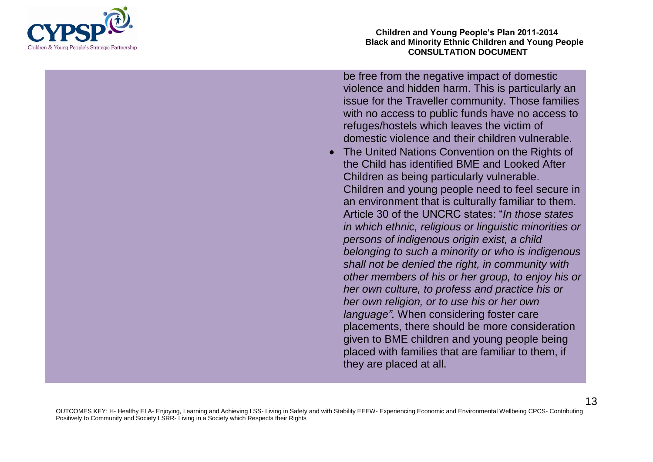

**Children and Young People's Plan 2011-2014 Black and Minority Ethnic Children and Young People CONSULTATION DOCUMENT**

be free from the negative impact of domestic violence and hidden harm. This is particularly an issue for the Traveller community. Those families with no access to public funds have no access to refuges/hostels which leaves the victim of domestic violence and their children vulnerable.

• The United Nations Convention on the Rights of the Child has identified BME and Looked After Children as being particularly vulnerable. Children and young people need to feel secure in an environment that is culturally familiar to them. Article 30 of the UNCRC states: "*In those states in which ethnic, religious or linguistic minorities or persons of indigenous origin exist, a child belonging to such a minority or who is indigenous shall not be denied the right, in community with other members of his or her group, to enjoy his or her own culture, to profess and practice his or her own religion, or to use his or her own language".* When considering foster care placements, there should be more consideration given to BME children and young people being placed with families that are familiar to them, if they are placed at all.

OUTCOMES KEY: H- Healthy ELA- Enjoying, Learning and Achieving LSS- Living in Safety and with Stability EEEW- Experiencing Economic and Environmental Wellbeing CPCS- Contributing Positively to Community and Society LSRR- Living in a Society which Respects their Rights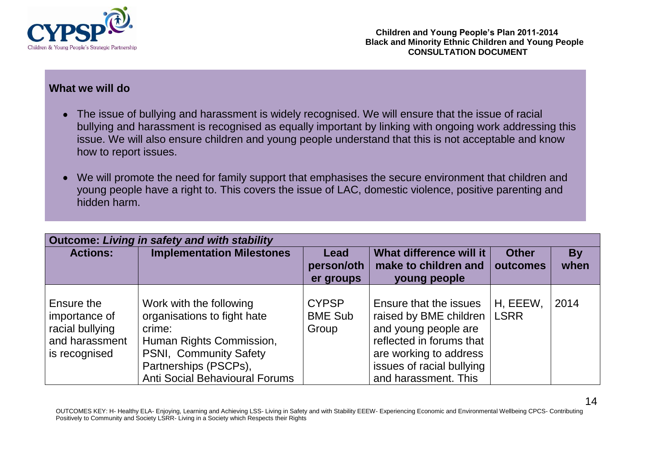

- The issue of bullying and harassment is widely recognised. We will ensure that the issue of racial bullying and harassment is recognised as equally important by linking with ongoing work addressing this issue. We will also ensure children and young people understand that this is not acceptable and know how to report issues.
- We will promote the need for family support that emphasises the secure environment that children and  $\bullet$ young people have a right to. This covers the issue of LAC, domestic violence, positive parenting and hidden harm.

| Outcome: Living in safety and with stability                                      |                                                                                                                                                                                          |                                         |                                                                                                                                                                                     |                          |                   |  |  |  |
|-----------------------------------------------------------------------------------|------------------------------------------------------------------------------------------------------------------------------------------------------------------------------------------|-----------------------------------------|-------------------------------------------------------------------------------------------------------------------------------------------------------------------------------------|--------------------------|-------------------|--|--|--|
| <b>Actions:</b>                                                                   | <b>Implementation Milestones</b>                                                                                                                                                         | Lead<br>person/oth<br>er groups         | What difference will it<br>make to children and<br>young people                                                                                                                     | <b>Other</b><br>outcomes | <b>By</b><br>when |  |  |  |
| Ensure the<br>importance of<br>racial bullying<br>and harassment<br>is recognised | Work with the following<br>organisations to fight hate<br>crime:<br>Human Rights Commission,<br>PSNI, Community Safety<br>Partnerships (PSCPs),<br><b>Anti Social Behavioural Forums</b> | <b>CYPSP</b><br><b>BME Sub</b><br>Group | Ensure that the issues<br>raised by BME children<br>and young people are<br>reflected in forums that<br>are working to address<br>issues of racial bullying<br>and harassment. This | H, EEEW,<br><b>LSRR</b>  | 2014              |  |  |  |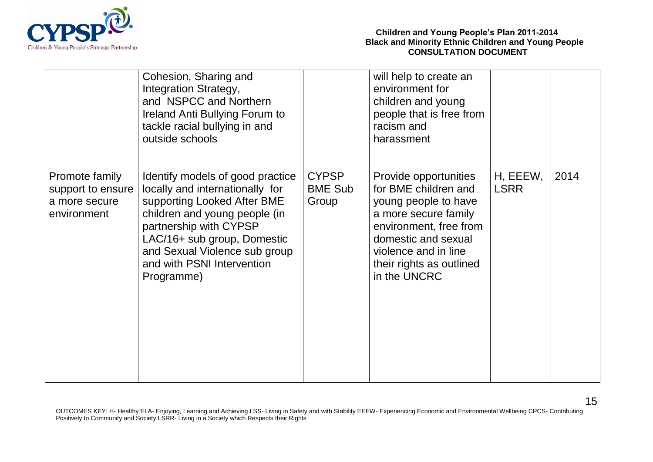

|                                                                     | Cohesion, Sharing and<br>Integration Strategy,<br>and NSPCC and Northern<br>Ireland Anti Bullying Forum to<br>tackle racial bullying in and<br>outside schools                                                                                                            |                                         | will help to create an<br>environment for<br>children and young<br>people that is free from<br>racism and<br>harassment                                                                                            |                         |      |
|---------------------------------------------------------------------|---------------------------------------------------------------------------------------------------------------------------------------------------------------------------------------------------------------------------------------------------------------------------|-----------------------------------------|--------------------------------------------------------------------------------------------------------------------------------------------------------------------------------------------------------------------|-------------------------|------|
| Promote family<br>support to ensure<br>a more secure<br>environment | Identify models of good practice<br>locally and internationally for<br>supporting Looked After BME<br>children and young people (in<br>partnership with CYPSP<br>LAC/16+ sub group, Domestic<br>and Sexual Violence sub group<br>and with PSNI Intervention<br>Programme) | <b>CYPSP</b><br><b>BME Sub</b><br>Group | Provide opportunities<br>for BME children and<br>young people to have<br>a more secure family<br>environment, free from<br>domestic and sexual<br>violence and in line<br>their rights as outlined<br>in the UNCRC | H, EEEW,<br><b>LSRR</b> | 2014 |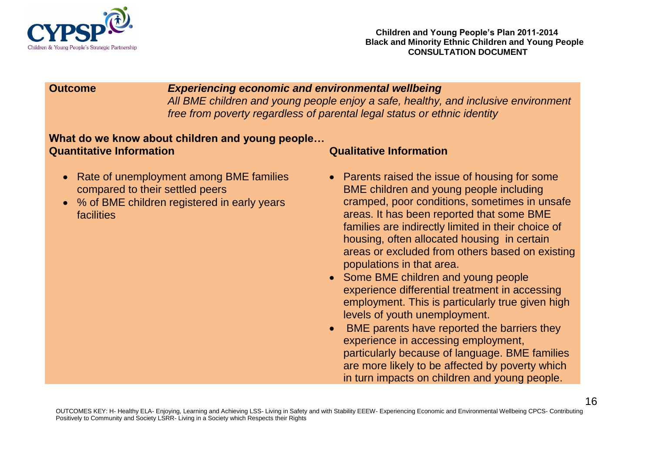

**Outcome** *Experiencing economic and environmental wellbeing All BME children and young people enjoy a safe, healthy, and inclusive environment free from poverty regardless of parental legal status or ethnic identity*

### **What do we know about children and young people… Quantitative Information Qualitative Information**

- Rate of unemployment among BME families compared to their settled peers
- % of BME children registered in early years facilities

- Parents raised the issue of housing for some BME children and young people including cramped, poor conditions, sometimes in unsafe areas. It has been reported that some BME families are indirectly limited in their choice of housing, often allocated housing in certain areas or excluded from others based on existing populations in that area.
- Some BME children and young people experience differential treatment in accessing employment. This is particularly true given high levels of youth unemployment.
- **BME** parents have reported the barriers they experience in accessing employment, particularly because of language. BME families are more likely to be affected by poverty which in turn impacts on children and young people.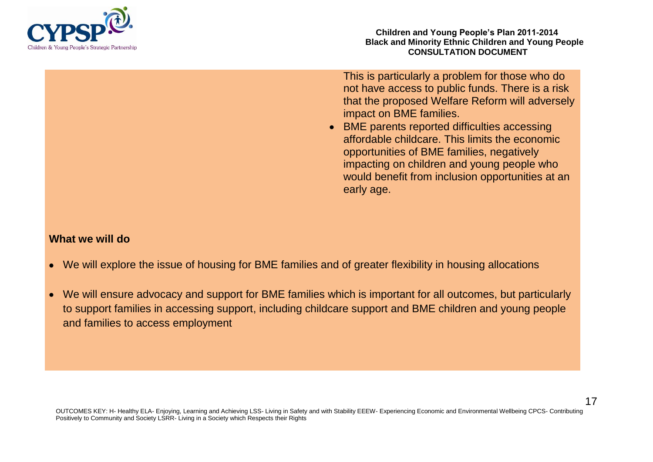

This is particularly a problem for those who do not have access to public funds. There is a risk that the proposed Welfare Reform will adversely impact on BME families.

• BME parents reported difficulties accessing affordable childcare. This limits the economic opportunities of BME families, negatively impacting on children and young people who would benefit from inclusion opportunities at an early age.

- We will explore the issue of housing for BME families and of greater flexibility in housing allocations
- We will ensure advocacy and support for BME families which is important for all outcomes, but particularly  $\bullet$ to support families in accessing support, including childcare support and BME children and young people and families to access employment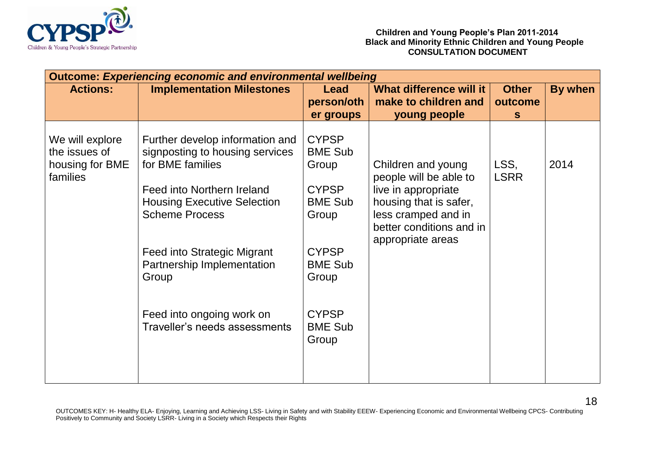

| <b>Outcome: Experiencing economic and environmental wellbeing</b> |                                                                                                                                                                                                                                                           |                                                                                                                               |                                                                                                                                                                       |                     |         |  |  |  |
|-------------------------------------------------------------------|-----------------------------------------------------------------------------------------------------------------------------------------------------------------------------------------------------------------------------------------------------------|-------------------------------------------------------------------------------------------------------------------------------|-----------------------------------------------------------------------------------------------------------------------------------------------------------------------|---------------------|---------|--|--|--|
| <b>Actions:</b>                                                   | <b>Implementation Milestones</b>                                                                                                                                                                                                                          | <b>Lead</b>                                                                                                                   | What difference will it                                                                                                                                               | <b>Other</b>        | By when |  |  |  |
|                                                                   |                                                                                                                                                                                                                                                           | person/oth                                                                                                                    | make to children and                                                                                                                                                  | outcome             |         |  |  |  |
|                                                                   |                                                                                                                                                                                                                                                           | er groups                                                                                                                     | young people                                                                                                                                                          | <sub>S</sub>        |         |  |  |  |
| We will explore<br>the issues of<br>housing for BME<br>families   | Further develop information and<br>signposting to housing services<br>for BME families<br>Feed into Northern Ireland<br><b>Housing Executive Selection</b><br><b>Scheme Process</b><br>Feed into Strategic Migrant<br>Partnership Implementation<br>Group | <b>CYPSP</b><br><b>BME Sub</b><br>Group<br><b>CYPSP</b><br><b>BME Sub</b><br>Group<br><b>CYPSP</b><br><b>BME Sub</b><br>Group | Children and young<br>people will be able to<br>live in appropriate<br>housing that is safer,<br>less cramped and in<br>better conditions and in<br>appropriate areas | LSS,<br><b>LSRR</b> | 2014    |  |  |  |
|                                                                   | Feed into ongoing work on<br>Traveller's needs assessments                                                                                                                                                                                                | <b>CYPSP</b><br><b>BME Sub</b><br>Group                                                                                       |                                                                                                                                                                       |                     |         |  |  |  |
|                                                                   |                                                                                                                                                                                                                                                           |                                                                                                                               |                                                                                                                                                                       |                     |         |  |  |  |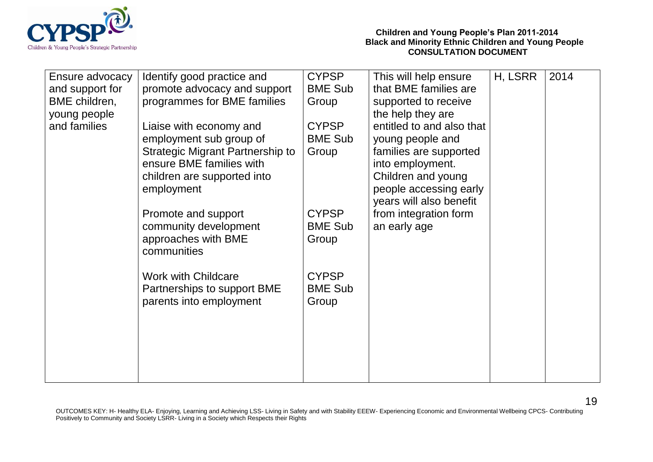

| Ensure advocacy | Identify good practice and                             | <b>CYPSP</b>                   | This will help ensure     | H, LSRR | 2014 |
|-----------------|--------------------------------------------------------|--------------------------------|---------------------------|---------|------|
| and support for | promote advocacy and support                           | <b>BME Sub</b>                 | that BME families are     |         |      |
| BME children,   | programmes for BME families                            | Group                          | supported to receive      |         |      |
| young people    |                                                        |                                | the help they are         |         |      |
| and families    | Liaise with economy and                                | <b>CYPSP</b>                   | entitled to and also that |         |      |
|                 | employment sub group of                                | <b>BME Sub</b>                 | young people and          |         |      |
|                 | <b>Strategic Migrant Partnership to</b>                | Group                          | families are supported    |         |      |
|                 | ensure BME families with                               |                                | into employment.          |         |      |
|                 | children are supported into                            |                                | Children and young        |         |      |
|                 | employment                                             |                                | people accessing early    |         |      |
|                 |                                                        |                                | years will also benefit   |         |      |
|                 | Promote and support                                    | <b>CYPSP</b>                   | from integration form     |         |      |
|                 | community development                                  | <b>BME Sub</b>                 | an early age              |         |      |
|                 | approaches with BME                                    | Group                          |                           |         |      |
|                 | communities                                            |                                |                           |         |      |
|                 |                                                        |                                |                           |         |      |
|                 | <b>Work with Childcare</b>                             | <b>CYPSP</b><br><b>BME Sub</b> |                           |         |      |
|                 | Partnerships to support BME<br>parents into employment | Group                          |                           |         |      |
|                 |                                                        |                                |                           |         |      |
|                 |                                                        |                                |                           |         |      |
|                 |                                                        |                                |                           |         |      |
|                 |                                                        |                                |                           |         |      |
|                 |                                                        |                                |                           |         |      |
|                 |                                                        |                                |                           |         |      |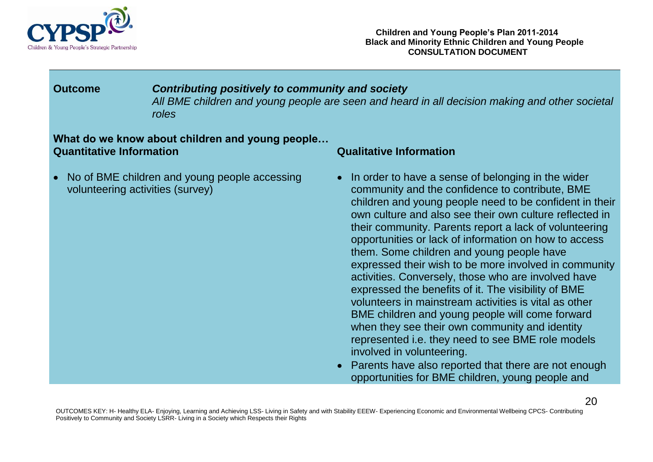

**Outcome** *Contributing positively to community and society All BME children and young people are seen and heard in all decision making and other societal roles*

### **What do we know about children and young people… Quantitative Information Qualitative Information**

No of BME children and young people accessing volunteering activities (survey)

- In order to have a sense of belonging in the wider community and the confidence to contribute, BME children and young people need to be confident in their own culture and also see their own culture reflected in their community. Parents report a lack of volunteering opportunities or lack of information on how to access them. Some children and young people have expressed their wish to be more involved in community activities. Conversely, those who are involved have expressed the benefits of it. The visibility of BME volunteers in mainstream activities is vital as other BME children and young people will come forward when they see their own community and identity represented i.e. they need to see BME role models involved in volunteering.
- Parents have also reported that there are not enough  $\bullet$ opportunities for BME children, young people and

OUTCOMES KEY: H- Healthy ELA- Enjoying, Learning and Achieving LSS- Living in Safety and with Stability EEEW- Experiencing Economic and Environmental Wellbeing CPCS- Contributing Positively to Community and Society LSRR- Living in a Society which Respects their Rights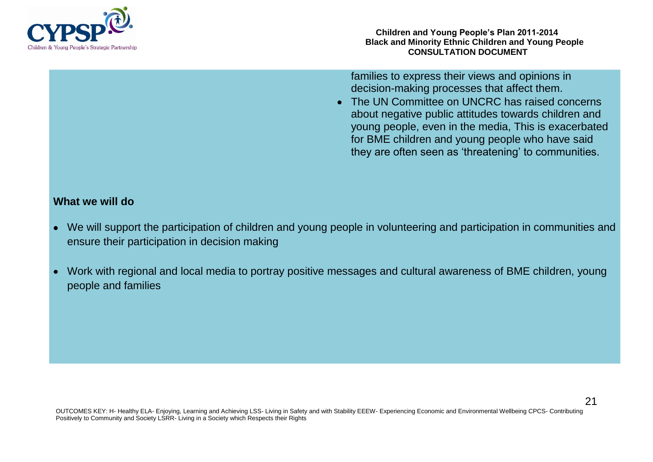

families to express their views and opinions in decision-making processes that affect them.

• The UN Committee on UNCRC has raised concerns about negative public attitudes towards children and young people, even in the media, This is exacerbated for BME children and young people who have said they are often seen as 'threatening' to communities.

- We will support the participation of children and young people in volunteering and participation in communities and ensure their participation in decision making
- Work with regional and local media to portray positive messages and cultural awareness of BME children, young  $\bullet$ people and families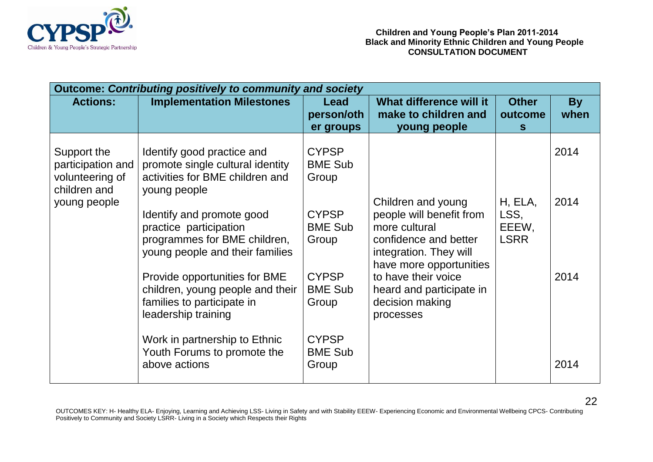

| <b>Outcome: Contributing positively to community and society</b>    |                                                                                                                        |                                         |                                                                                                                                               |                                         |                   |  |  |  |
|---------------------------------------------------------------------|------------------------------------------------------------------------------------------------------------------------|-----------------------------------------|-----------------------------------------------------------------------------------------------------------------------------------------------|-----------------------------------------|-------------------|--|--|--|
| <b>Actions:</b>                                                     | <b>Implementation Milestones</b>                                                                                       | Lead<br>person/oth<br>er groups         | What difference will it<br>make to children and<br>young people                                                                               | <b>Other</b><br>outcome<br><sub>S</sub> | <b>By</b><br>when |  |  |  |
| Support the<br>participation and<br>volunteering of<br>children and | Identify good practice and<br>promote single cultural identity<br>activities for BME children and<br>young people      | <b>CYPSP</b><br><b>BME Sub</b><br>Group |                                                                                                                                               |                                         | 2014              |  |  |  |
| young people                                                        | Identify and promote good<br>practice participation<br>programmes for BME children,<br>young people and their families | <b>CYPSP</b><br><b>BME Sub</b><br>Group | Children and young<br>people will benefit from<br>more cultural<br>confidence and better<br>integration. They will<br>have more opportunities | H, ELA,<br>LSS,<br>EEEW,<br><b>LSRR</b> | 2014              |  |  |  |
|                                                                     | Provide opportunities for BME<br>children, young people and their<br>families to participate in<br>leadership training | <b>CYPSP</b><br><b>BME Sub</b><br>Group | to have their voice<br>heard and participate in<br>decision making<br>processes                                                               |                                         | 2014              |  |  |  |
|                                                                     | Work in partnership to Ethnic<br>Youth Forums to promote the<br>above actions                                          | <b>CYPSP</b><br><b>BME Sub</b><br>Group |                                                                                                                                               |                                         | 2014              |  |  |  |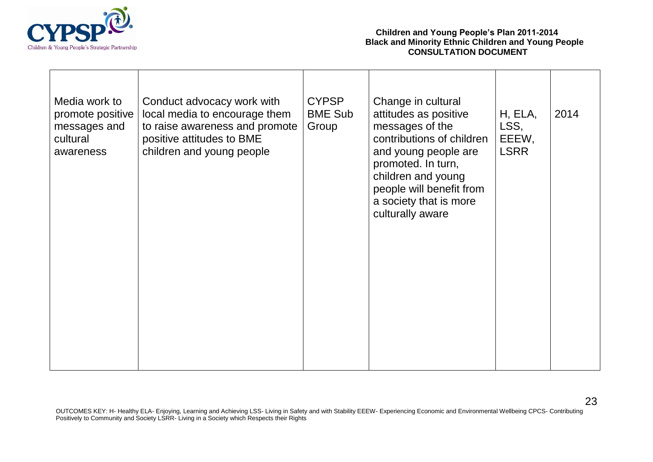

| Media work to<br>promote positive<br>messages and<br>cultural<br>awareness | Conduct advocacy work with<br>local media to encourage them<br>to raise awareness and promote<br>positive attitudes to BME<br>children and young people | <b>CYPSP</b><br><b>BME Sub</b><br>Group | Change in cultural<br>attitudes as positive<br>messages of the<br>contributions of children<br>and young people are<br>promoted. In turn,<br>children and young<br>people will benefit from<br>a society that is more<br>culturally aware | H, ELA,<br>LSS,<br>EEEW,<br><b>LSRR</b> | 2014 |
|----------------------------------------------------------------------------|---------------------------------------------------------------------------------------------------------------------------------------------------------|-----------------------------------------|-------------------------------------------------------------------------------------------------------------------------------------------------------------------------------------------------------------------------------------------|-----------------------------------------|------|
|                                                                            |                                                                                                                                                         |                                         |                                                                                                                                                                                                                                           |                                         |      |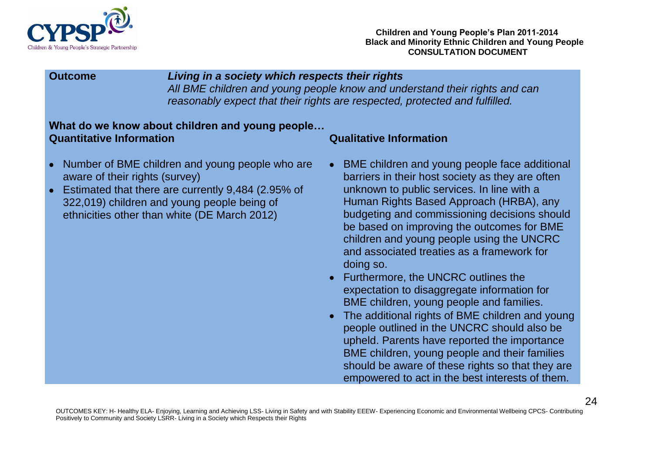

### **Outcome** *Living in a society which respects their rights*

*All BME children and young people know and understand their rights and can reasonably expect that their rights are respected, protected and fulfilled.* 

### **What do we know about children and young people… Quantitative Information Qualitative Information**

- Number of BME children and young people who are aware of their rights (survey)
- Estimated that there are currently 9,484 (2.95% of 322,019) children and young people being of ethnicities other than white (DE March 2012)

- BME children and young people face additional barriers in their host society as they are often unknown to public services. In line with a Human Rights Based Approach (HRBA), any budgeting and commissioning decisions should be based on improving the outcomes for BME children and young people using the UNCRC and associated treaties as a framework for doing so.
- Furthermore, the UNCRC outlines the expectation to disaggregate information for BME children, young people and families.
- The additional rights of BME children and young people outlined in the UNCRC should also be upheld. Parents have reported the importance BME children, young people and their families should be aware of these rights so that they are empowered to act in the best interests of them.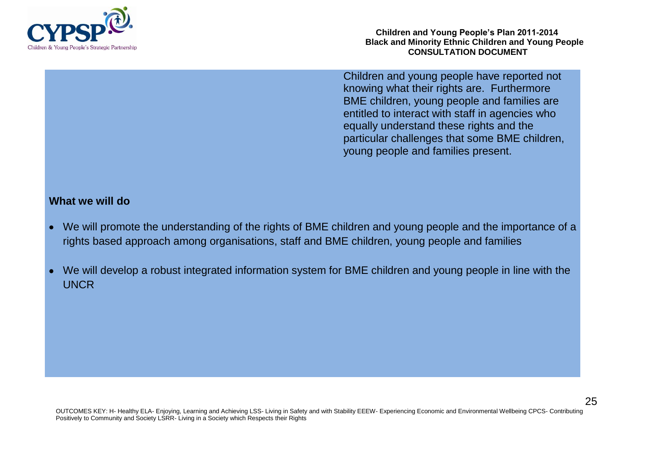

**Children and Young People's Plan 2011-2014 Black and Minority Ethnic Children and Young People CONSULTATION DOCUMENT**

Children and young people have reported not knowing what their rights are. Furthermore BME children, young people and families are entitled to interact with staff in agencies who equally understand these rights and the particular challenges that some BME children, young people and families present.

- We will promote the understanding of the rights of BME children and young people and the importance of a rights based approach among organisations, staff and BME children, young people and families
- We will develop a robust integrated information system for BME children and young people in line with the **UNCR**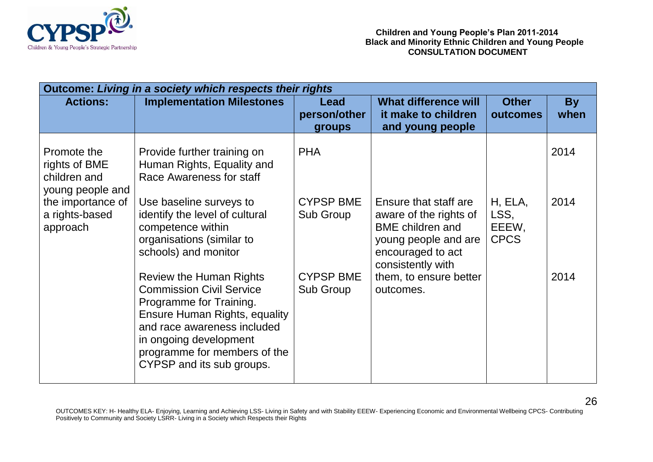

| <b>Outcome: Living in a society which respects their rights</b>  |                                                                                                                                                                                                                                                     |                                |                                                                                                                                              |                                         |                   |  |  |  |
|------------------------------------------------------------------|-----------------------------------------------------------------------------------------------------------------------------------------------------------------------------------------------------------------------------------------------------|--------------------------------|----------------------------------------------------------------------------------------------------------------------------------------------|-----------------------------------------|-------------------|--|--|--|
| <b>Actions:</b>                                                  | <b>Implementation Milestones</b>                                                                                                                                                                                                                    | Lead<br>person/other<br>groups | <b>What difference will</b><br>it make to children<br>and young people                                                                       | <b>Other</b><br>outcomes                | <b>By</b><br>when |  |  |  |
| Promote the<br>rights of BME<br>children and<br>young people and | Provide further training on<br>Human Rights, Equality and<br>Race Awareness for staff                                                                                                                                                               | <b>PHA</b>                     |                                                                                                                                              |                                         | 2014              |  |  |  |
| the importance of<br>a rights-based<br>approach                  | Use baseline surveys to<br>identify the level of cultural<br>competence within<br>organisations (similar to<br>schools) and monitor                                                                                                                 | <b>CYPSP BME</b><br>Sub Group  | Ensure that staff are<br>aware of the rights of<br><b>BME</b> children and<br>young people and are<br>encouraged to act<br>consistently with | H, ELA,<br>LSS,<br>EEEW,<br><b>CPCS</b> | 2014              |  |  |  |
|                                                                  | <b>Review the Human Rights</b><br><b>Commission Civil Service</b><br>Programme for Training.<br>Ensure Human Rights, equality<br>and race awareness included<br>in ongoing development<br>programme for members of the<br>CYPSP and its sub groups. | <b>CYPSP BME</b><br>Sub Group  | them, to ensure better<br>outcomes.                                                                                                          |                                         | 2014              |  |  |  |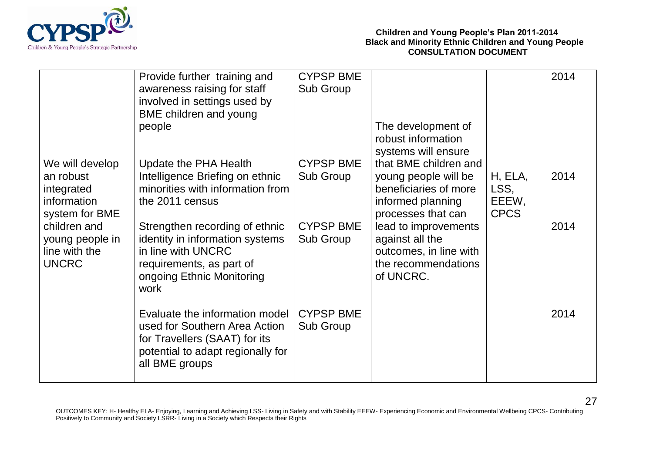

|                                  | Provide further training and                                       | <b>CYPSP BME</b> |                                               |             | 2014 |
|----------------------------------|--------------------------------------------------------------------|------------------|-----------------------------------------------|-------------|------|
|                                  | awareness raising for staff                                        | Sub Group        |                                               |             |      |
|                                  | involved in settings used by                                       |                  |                                               |             |      |
|                                  | <b>BME</b> children and young                                      |                  |                                               |             |      |
|                                  | people                                                             |                  | The development of                            |             |      |
|                                  |                                                                    |                  | robust information                            |             |      |
| We will develop                  | Update the PHA Health                                              | <b>CYPSP BME</b> | systems will ensure<br>that BME children and  |             |      |
| an robust                        | Intelligence Briefing on ethnic                                    | Sub Group        | young people will be                          | H, ELA,     | 2014 |
| integrated                       | minorities with information from                                   |                  | beneficiaries of more                         | LSS,        |      |
| information                      | the 2011 census                                                    |                  | informed planning                             | EEEW,       |      |
| system for BME                   |                                                                    |                  | processes that can                            | <b>CPCS</b> |      |
| children and                     | Strengthen recording of ethnic                                     | <b>CYPSP BME</b> | lead to improvements                          |             | 2014 |
| young people in<br>line with the | identity in information systems<br>in line with UNCRC              | Sub Group        | against all the                               |             |      |
| <b>UNCRC</b>                     | requirements, as part of                                           |                  | outcomes, in line with<br>the recommendations |             |      |
|                                  | ongoing Ethnic Monitoring                                          |                  | of UNCRC.                                     |             |      |
|                                  | work                                                               |                  |                                               |             |      |
|                                  |                                                                    |                  |                                               |             |      |
|                                  | Evaluate the information model                                     | <b>CYPSP BME</b> |                                               |             | 2014 |
|                                  | used for Southern Area Action                                      | Sub Group        |                                               |             |      |
|                                  | for Travellers (SAAT) for its<br>potential to adapt regionally for |                  |                                               |             |      |
|                                  | all BME groups                                                     |                  |                                               |             |      |
|                                  |                                                                    |                  |                                               |             |      |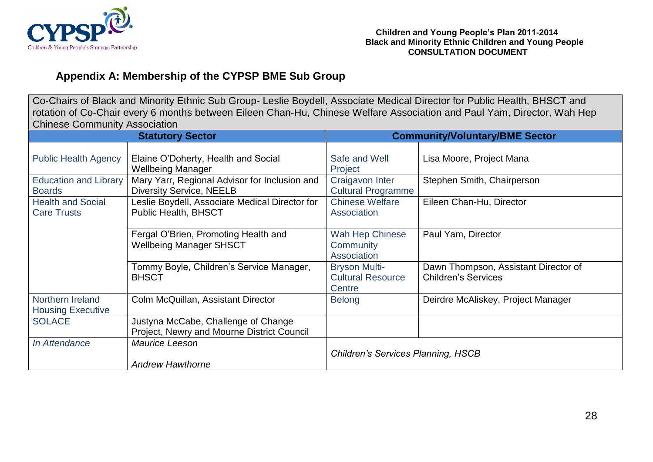

### **Appendix A: Membership of the CYPSP BME Sub Group**

Co-Chairs of Black and Minority Ethnic Sub Group- Leslie Boydell, Associate Medical Director for Public Health, BHSCT and rotation of Co-Chair every 6 months between Eileen Chan-Hu, Chinese Welfare Association and Paul Yam, Director, Wah Hep Chinese Community Association

| <b>Statutory Sector</b>                        |                                                                                   | <b>Community/Voluntary/BME Sector</b>                      |                                                                    |
|------------------------------------------------|-----------------------------------------------------------------------------------|------------------------------------------------------------|--------------------------------------------------------------------|
| <b>Public Health Agency</b>                    | Elaine O'Doherty, Health and Social<br><b>Wellbeing Manager</b>                   | Safe and Well<br>Project                                   | Lisa Moore, Project Mana                                           |
| <b>Education and Library</b><br><b>Boards</b>  | Mary Yarr, Regional Advisor for Inclusion and<br><b>Diversity Service, NEELB</b>  | Craigavon Inter<br><b>Cultural Programme</b>               | Stephen Smith, Chairperson                                         |
| <b>Health and Social</b><br><b>Care Trusts</b> | Leslie Boydell, Associate Medical Director for<br>Public Health, BHSCT            | <b>Chinese Welfare</b><br>Association                      | Eileen Chan-Hu, Director                                           |
|                                                | Fergal O'Brien, Promoting Health and<br><b>Wellbeing Manager SHSCT</b>            | Wah Hep Chinese<br>Community<br>Association                | Paul Yam, Director                                                 |
|                                                | Tommy Boyle, Children's Service Manager,<br><b>BHSCT</b>                          | <b>Bryson Multi-</b><br><b>Cultural Resource</b><br>Centre | Dawn Thompson, Assistant Director of<br><b>Children's Services</b> |
| Northern Ireland<br><b>Housing Executive</b>   | Colm McQuillan, Assistant Director                                                | <b>Belong</b>                                              | Deirdre McAliskey, Project Manager                                 |
| <b>SOLACE</b>                                  | Justyna McCabe, Challenge of Change<br>Project, Newry and Mourne District Council |                                                            |                                                                    |
| In Attendance                                  | Maurice Leeson<br><b>Andrew Hawthorne</b>                                         | <b>Children's Services Planning, HSCB</b>                  |                                                                    |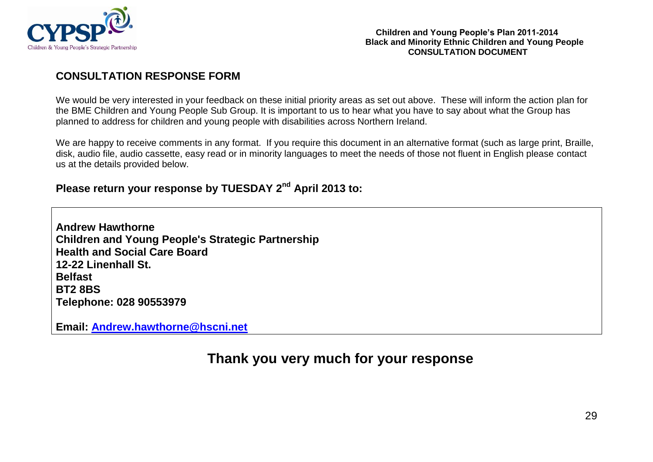

### **CONSULTATION RESPONSE FORM**

We would be very interested in your feedback on these initial priority areas as set out above. These will inform the action plan for the BME Children and Young People Sub Group. It is important to us to hear what you have to say about what the Group has planned to address for children and young people with disabilities across Northern Ireland.

We are happy to receive comments in any format. If you require this document in an alternative format (such as large print, Braille, disk, audio file, audio cassette, easy read or in minority languages to meet the needs of those not fluent in English please contact us at the details provided below.

### **Please return your response by TUESDAY 2 nd April 2013 to:**

**Andrew Hawthorne Children and Young People's Strategic Partnership Health and Social Care Board 12-22 Linenhall St. Belfast BT2 8BS Telephone: 028 90553979**

**Email: [Andrew.hawthorne@hscni.net](mailto:Andrew.hawthorne@hscni.net)**

## **Thank you very much for your response**